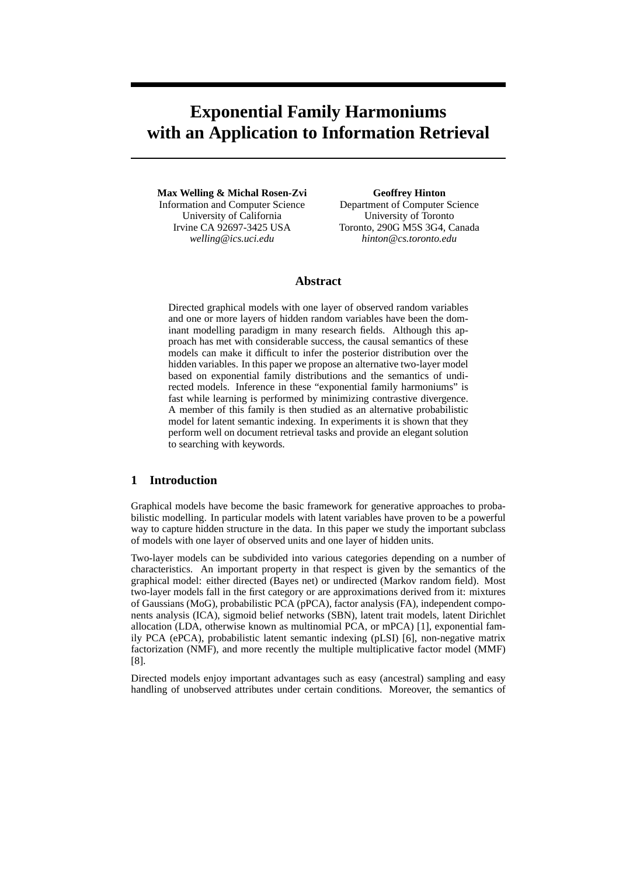# **Exponential Family Harmoniums with an Application to Information Retrieval**

**Max Welling & Michal Rosen-Zvi** Information and Computer Science University of California Irvine CA 92697-3425 USA *welling@ics.uci.edu*

**Geoffrey Hinton** Department of Computer Science University of Toronto Toronto, 290G M5S 3G4, Canada *hinton@cs.toronto.edu*

# **Abstract**

Directed graphical models with one layer of observed random variables and one or more layers of hidden random variables have been the dominant modelling paradigm in many research fields. Although this approach has met with considerable success, the causal semantics of these models can make it difficult to infer the posterior distribution over the hidden variables. In this paper we propose an alternative two-layer model based on exponential family distributions and the semantics of undirected models. Inference in these "exponential family harmoniums" is fast while learning is performed by minimizing contrastive divergence. A member of this family is then studied as an alternative probabilistic model for latent semantic indexing. In experiments it is shown that they perform well on document retrieval tasks and provide an elegant solution to searching with keywords.

# **1 Introduction**

Graphical models have become the basic framework for generative approaches to probabilistic modelling. In particular models with latent variables have proven to be a powerful way to capture hidden structure in the data. In this paper we study the important subclass of models with one layer of observed units and one layer of hidden units.

Two-layer models can be subdivided into various categories depending on a number of characteristics. An important property in that respect is given by the semantics of the graphical model: either directed (Bayes net) or undirected (Markov random field). Most two-layer models fall in the first category or are approximations derived from it: mixtures of Gaussians (MoG), probabilistic PCA (pPCA), factor analysis (FA), independent components analysis (ICA), sigmoid belief networks (SBN), latent trait models, latent Dirichlet allocation (LDA, otherwise known as multinomial PCA, or mPCA) [1], exponential family PCA (ePCA), probabilistic latent semantic indexing (pLSI) [6], non-negative matrix factorization (NMF), and more recently the multiple multiplicative factor model (MMF) [8].

Directed models enjoy important advantages such as easy (ancestral) sampling and easy handling of unobserved attributes under certain conditions. Moreover, the semantics of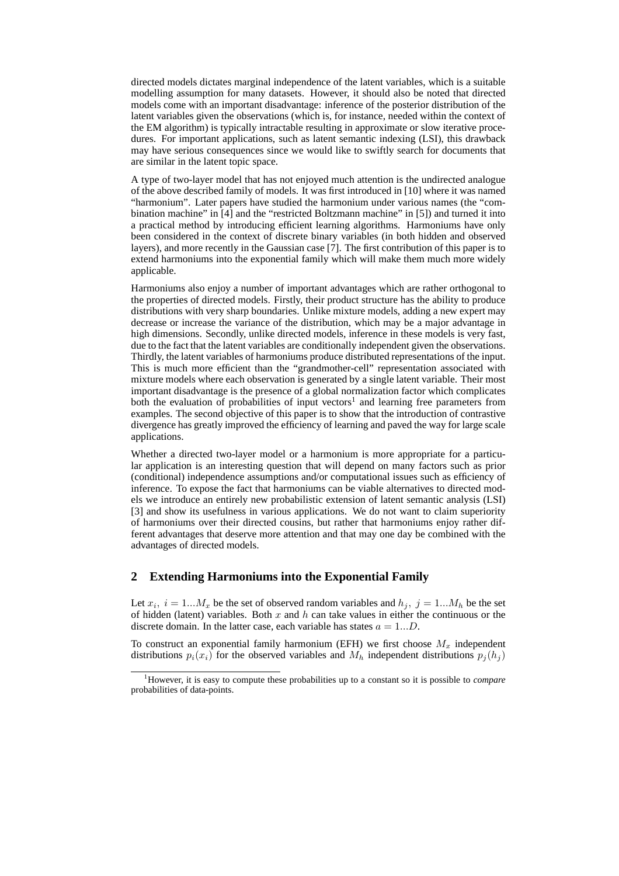directed models dictates marginal independence of the latent variables, which is a suitable modelling assumption for many datasets. However, it should also be noted that directed models come with an important disadvantage: inference of the posterior distribution of the latent variables given the observations (which is, for instance, needed within the context of the EM algorithm) is typically intractable resulting in approximate or slow iterative procedures. For important applications, such as latent semantic indexing (LSI), this drawback may have serious consequences since we would like to swiftly search for documents that are similar in the latent topic space.

A type of two-layer model that has not enjoyed much attention is the undirected analogue of the above described family of models. It was first introduced in [10] where it was named "harmonium". Later papers have studied the harmonium under various names (the "combination machine" in [4] and the "restricted Boltzmann machine" in [5]) and turned it into a practical method by introducing efficient learning algorithms. Harmoniums have only been considered in the context of discrete binary variables (in both hidden and observed layers), and more recently in the Gaussian case [7]. The first contribution of this paper is to extend harmoniums into the exponential family which will make them much more widely applicable.

Harmoniums also enjoy a number of important advantages which are rather orthogonal to the properties of directed models. Firstly, their product structure has the ability to produce distributions with very sharp boundaries. Unlike mixture models, adding a new expert may decrease or increase the variance of the distribution, which may be a major advantage in high dimensions. Secondly, unlike directed models, inference in these models is very fast, due to the fact that the latent variables are conditionally independent given the observations. Thirdly, the latent variables of harmoniums produce distributed representations of the input. This is much more efficient than the "grandmother-cell" representation associated with mixture models where each observation is generated by a single latent variable. Their most important disadvantage is the presence of a global normalization factor which complicates both the evaluation of probabilities of input vectors<sup>1</sup> and learning free parameters from examples. The second objective of this paper is to show that the introduction of contrastive divergence has greatly improved the efficiency of learning and paved the way for large scale applications.

Whether a directed two-layer model or a harmonium is more appropriate for a particular application is an interesting question that will depend on many factors such as prior (conditional) independence assumptions and/or computational issues such as efficiency of inference. To expose the fact that harmoniums can be viable alternatives to directed models we introduce an entirely new probabilistic extension of latent semantic analysis (LSI) [3] and show its usefulness in various applications. We do not want to claim superiority of harmoniums over their directed cousins, but rather that harmoniums enjoy rather different advantages that deserve more attention and that may one day be combined with the advantages of directed models.

# **2 Extending Harmoniums into the Exponential Family**

Let  $x_i$ ,  $i = 1...M_x$  be the set of observed random variables and  $h_j$ ,  $j = 1...M_h$  be the set of hidden (latent) variables. Both x and h can take values in either the continuous or the discrete domain. In the latter case, each variable has states  $a = 1...D$ .

To construct an exponential family harmonium (EFH) we first choose  $M_x$  independent distributions  $p_i(x_i)$  for the observed variables and  $M_h$  independent distributions  $p_i(h_i)$ 

<sup>1</sup>However, it is easy to compute these probabilities up to a constant so it is possible to *compare* probabilities of data-points.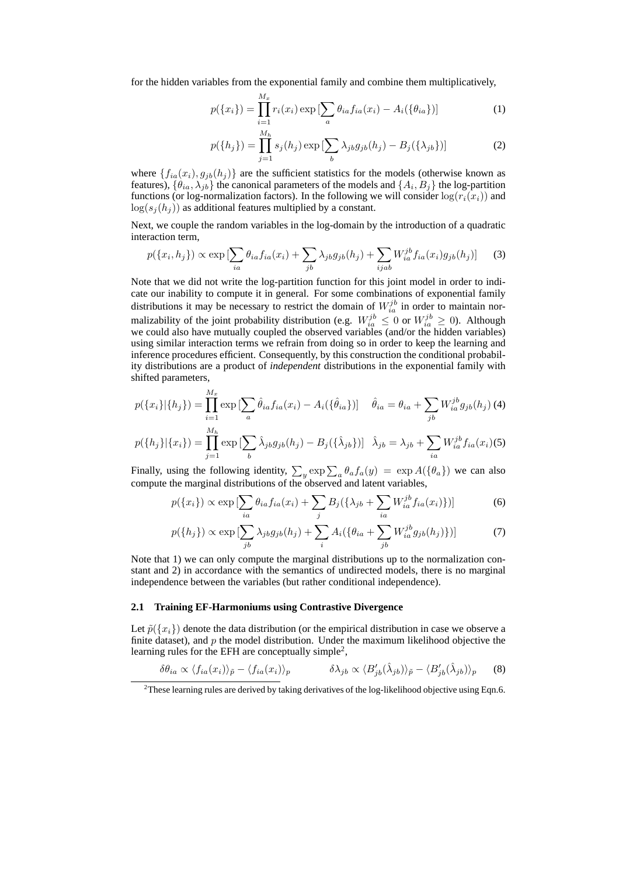for the hidden variables from the exponential family and combine them multiplicatively,

 $\overline{M}$ 

$$
p(\{x_i\}) = \prod_{i=1}^{M_x} r_i(x_i) \exp\left[\sum_a \theta_{ia} f_{ia}(x_i) - A_i(\{\theta_{ia}\})\right]
$$
 (1)

$$
p(\lbrace h_j \rbrace) = \prod_{j=1}^{M_h} s_j(h_j) \exp \left[ \sum_b \lambda_{jb} g_{jb}(h_j) - B_j(\lbrace \lambda_{jb} \rbrace) \right]
$$
 (2)

where  $\{f_{ia}(x_i), g_{jb}(h_j)\}\$  are the sufficient statistics for the models (otherwise known as features),  $\{\theta_{ia}, \lambda_{jb}\}$  the canonical parameters of the models and  $\{A_i, B_j\}$  the log-partition functions (or log-normalization factors). In the following we will consider  $log(r_i(x_i))$  and  $\log(s_i(h_i))$  as additional features multiplied by a constant.

Next, we couple the random variables in the log-domain by the introduction of a quadratic interaction term,

$$
p(\lbrace x_i, h_j \rbrace) \propto \exp\left[\sum_{ia} \theta_{ia} f_{ia}(x_i) + \sum_{jb} \lambda_{jb} g_{jb}(h_j) + \sum_{ijab} W_{ia}^{jb} f_{ia}(x_i) g_{jb}(h_j)\right]
$$
(3)

Note that we did not write the log-partition function for this joint model in order to indicate our inability to compute it in general. For some combinations of exponential family distributions it may be necessary to restrict the domain of  $W_{ia}^{jb}$  in order to maintain normalizability of the joint probability distribution (e.g.  $W_{ia}^{jb} \leq 0$  or  $W_{ia}^{jb} \geq 0$ ). Although we could also have mutually coupled the observed variables (and/or the hidden variables) using similar interaction terms we refrain from doing so in order to keep the learning and inference procedures efficient. Consequently, by this construction the conditional probability distributions are a product of *independent* distributions in the exponential family with shifted parameters,

$$
p(\{x_i\}|\{h_j\}) = \prod_{i=1}^{M_x} \exp\left[\sum_a \hat{\theta}_{ia} f_{ia}(x_i) - A_i(\{\hat{\theta}_{ia}\})\right] \quad \hat{\theta}_{ia} = \theta_{ia} + \sum_{jb} W_{ia}^{jb} g_{jb}(h_j)
$$
(4)  

$$
p(\{h_j\}|\{x_i\}) = \prod_{j=1}^{M_h} \exp\left[\sum_b \hat{\lambda}_{jb} g_{jb}(h_j) - B_j(\{\hat{\lambda}_{jb}\})\right] \quad \hat{\lambda}_{jb} = \lambda_{jb} + \sum_{ia} W_{ia}^{jb} f_{ia}(x_i)
$$
(5)

Finally, using the following identity,  $\sum_{y} \exp \sum_{a} \theta_{a} f_{a}(y) = \exp A(\{\theta_{a}\})$  we can also compute the marginal distributions of the observed and latent variables,

$$
p(\lbrace x_i \rbrace) \propto \exp\left[\sum_{ia} \theta_{ia} f_{ia}(x_i) + \sum_j B_j(\lbrace \lambda_{jb} + \sum_{ia} W_{ia}^{jb} f_{ia}(x_i)\rbrace)\right]
$$
(6)

$$
p({h_j}) \propto \exp\left[\sum_{jb} \lambda_{jb} g_{jb}(h_j) + \sum_i A_i({\theta_{ia} + \sum_{jb} W_{ia}^{jb} g_{jb}(h_j)})\right]
$$
 (7)

Note that 1) we can only compute the marginal distributions up to the normalization constant and 2) in accordance with the semantics of undirected models, there is no marginal independence between the variables (but rather conditional independence).

## **2.1 Training EF-Harmoniums using Contrastive Divergence**

Let  $\tilde{p}(\{x_i\})$  denote the data distribution (or the empirical distribution in case we observe a finite dataset), and  $p$  the model distribution. Under the maximum likelihood objective the learning rules for the EFH are conceptually simple<sup>2</sup>,

$$
\delta\theta_{ia} \propto \langle f_{ia}(x_i) \rangle_{\tilde{p}} - \langle f_{ia}(x_i) \rangle_{p} \qquad \qquad \delta\lambda_{jb} \propto \langle B'_{jb}(\hat{\lambda}_{jb}) \rangle_{\tilde{p}} - \langle B'_{jb}(\hat{\lambda}_{jb}) \rangle_{p} \qquad (8)
$$

<sup>&</sup>lt;sup>2</sup>These learning rules are derived by taking derivatives of the log-likelihood objective using Eqn.6.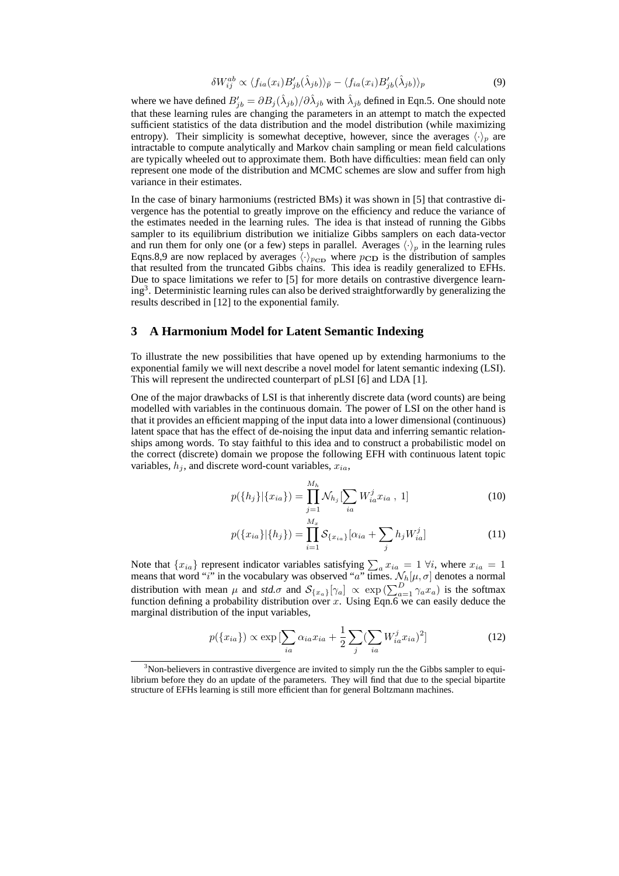$$
\delta W_{ij}^{ab} \propto \langle f_{ia}(x_i) B'_{jb} (\hat{\lambda}_{jb}) \rangle_{\tilde{p}} - \langle f_{ia}(x_i) B'_{jb} (\hat{\lambda}_{jb}) \rangle_p \tag{9}
$$

where we have defined  $B'_{jb} = \partial B_j(\hat{\lambda}_{jb})/\partial \hat{\lambda}_{jb}$  with  $\hat{\lambda}_{jb}$  defined in Eqn.5. One should note that these learning rules are changing the parameters in an attempt to match the expected sufficient statistics of the data distribution and the model distribution (while maximizing entropy). Their simplicity is somewhat deceptive, however, since the averages  $\langle \cdot \rangle_n$  are intractable to compute analytically and Markov chain sampling or mean field calculations are typically wheeled out to approximate them. Both have difficulties: mean field can only represent one mode of the distribution and MCMC schemes are slow and suffer from high variance in their estimates.

In the case of binary harmoniums (restricted BMs) it was shown in [5] that contrastive divergence has the potential to greatly improve on the efficiency and reduce the variance of the estimates needed in the learning rules. The idea is that instead of running the Gibbs sampler to its equilibrium distribution we initialize Gibbs samplers on each data-vector and run them for only one (or a few) steps in parallel. Averages  $\langle \cdot \rangle_p$  in the learning rules Eqns.8,9 are now replaced by averages  $\langle \cdot \rangle_{p_{\text{CD}}}$  where  $p_{\text{CD}}$  is the distribution of samples that resulted from the truncated Gibbs chains. This idea is readily generalized to EFHs. Due to space limitations we refer to [5] for more details on contrastive divergence learning<sup>3</sup>. Deterministic learning rules can also be derived straightforwardly by generalizing the results described in [12] to the exponential family.

## **3 A Harmonium Model for Latent Semantic Indexing**

To illustrate the new possibilities that have opened up by extending harmoniums to the exponential family we will next describe a novel model for latent semantic indexing (LSI). This will represent the undirected counterpart of pLSI [6] and LDA [1].

One of the major drawbacks of LSI is that inherently discrete data (word counts) are being modelled with variables in the continuous domain. The power of LSI on the other hand is that it provides an efficient mapping of the input data into a lower dimensional (continuous) latent space that has the effect of de-noising the input data and inferring semantic relationships among words. To stay faithful to this idea and to construct a probabilistic model on the correct (discrete) domain we propose the following EFH with continuous latent topic variables,  $h_i$ , and discrete word-count variables,  $x_{ia}$ ,

$$
p({h_j}|\{x_{ia}\}) = \prod_{j=1}^{M_h} \mathcal{N}_{h_j}[\sum_{ia} W_{ia}^j x_{ia}, 1]
$$
 (10)

$$
p({x_{ia}}|{h_j}) = \prod_{i=1}^{M_x} S_{\{x_{ia}\}}[\alpha_{ia} + \sum_j h_j W_{ia}^j]
$$
 (11)

Note that  $\{x_{ia}\}$  represent indicator variables satisfying  $\sum_a x_{ia} = 1 \forall i$ , where  $x_{ia} = 1$ means that word "i" in the vocabulary was observed "a" times.  $\mathcal{N}_h[\mu, \sigma]$  denotes a normal distribution with mean  $\mu$  and *std.* $\sigma$  and  $\mathcal{S}_{\{x_a\}}[\gamma_a] \propto \exp(\sum_{a=1}^D \gamma_a x_a)$  is the softmax function defining a probability distribution over x. Using Eqn.6 we can easily deduce the marginal distribution of the input variables,

$$
p(\lbrace x_{ia} \rbrace) \propto \exp\left[\sum_{ia} \alpha_{ia} x_{ia} + \frac{1}{2} \sum_{j} (\sum_{ia} W^j_{ia} x_{ia})^2\right]
$$
 (12)

 $3$ Non-believers in contrastive divergence are invited to simply run the the Gibbs sampler to equilibrium before they do an update of the parameters. They will find that due to the special bipartite structure of EFHs learning is still more efficient than for general Boltzmann machines.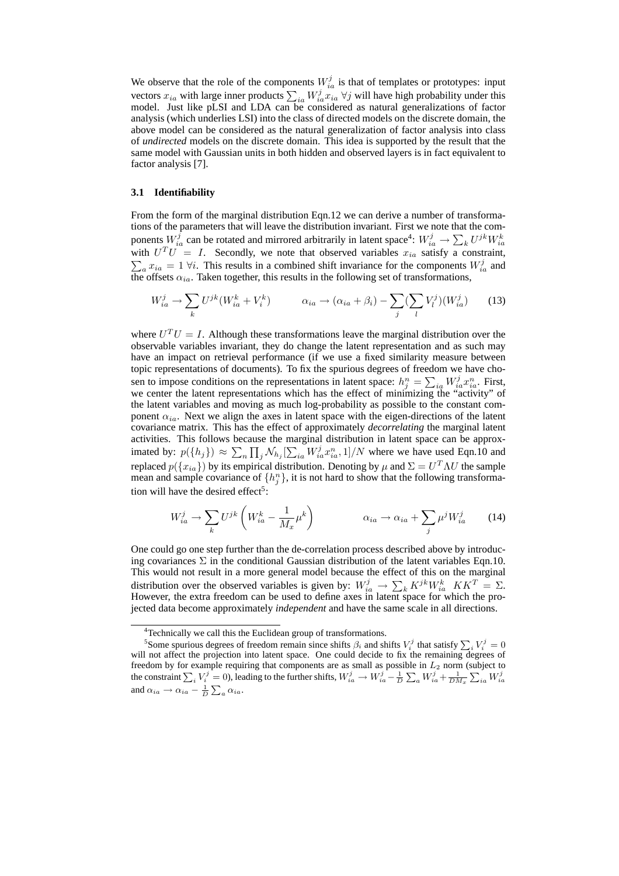We observe that the role of the components  $W_{ia}^j$  is that of templates or prototypes: input vectors  $x_{ia}$  with large inner products  $\sum_{ia} W_{ia}^{ij} x_{ia} \ \forall j$  will have high probability under this model. Just like pLSI and LDA can be considered as natural generalizations of factor analysis (which underlies LSI) into the class of directed models on the discrete domain, the above model can be considered as the natural generalization of factor analysis into class of *undirected* models on the discrete domain. This idea is supported by the result that the same model with Gaussian units in both hidden and observed layers is in fact equivalent to factor analysis [7].

#### **3.1 Identifiability**

From the form of the marginal distribution Eqn.12 we can derive a number of transformations of the parameters that will leave the distribution invariant. First we note that the components  $W_{ia}^j$  can be rotated and mirrored arbitrarily in latent space<sup>4</sup>:  $W_{ia}^j \rightarrow \sum_k U^{jk} W_{ia}^k$  with  $U^T U = I$ . Secondly, we note that observed variables  $x_{ia}$  satisfy a constraint,  $a x_{ia} = 1 \forall i$ . This results in a combined shift invariance for the components  $W_{ia}^j$  and the offsets  $\alpha_{ia}$ . Taken together, this results in the following set of transformations,

$$
W_{ia}^j \to \sum_k U^{jk} (W_{ia}^k + V_i^k) \qquad \alpha_{ia} \to (\alpha_{ia} + \beta_i) - \sum_j (\sum_l V_l^j)(W_{ia}^j) \qquad (13)
$$

where  $U^T U = I$ . Although these transformations leave the marginal distribution over the observable variables invariant, they do change the latent representation and as such may have an impact on retrieval performance (if we use a fixed similarity measure between topic representations of documents). To fix the spurious degrees of freedom we have chosen to impose conditions on the representations in latent space:  $h_j^n = \sum_{ia} W_{ia}^j x_{ia}^n$ . First, we center the latent representations which has the effect of minimizing the "activity" of the latent variables and moving as much log-probability as possible to the constant component  $\alpha_{ia}$ . Next we align the axes in latent space with the eigen-directions of the latent covariance matrix. This has the effect of approximately *decorrelating* the marginal latent activities. This follows because the marginal distribution in latent space can be approximated by:  $p(\lbrace h_j \rbrace) \approx \sum_n \prod_j \mathcal{N}_{h_j} [\sum_{ia} W_{ia}^j x_{ia}^n, 1]/N$  where we have used Eqn.10 and replaced  $p({x_{ia}})$  by its empirical distribution. Denoting by  $\mu$  and  $\Sigma = U^T \Lambda U$  the sample mean and sample covariance of  $\{h_j^n\}$ , it is not hard to show that the following transformation will have the desired effect<sup>5</sup>:

$$
W_{ia}^j \to \sum_k U^{jk} \left( W_{ia}^k - \frac{1}{M_x} \mu^k \right) \qquad \alpha_{ia} \to \alpha_{ia} + \sum_j \mu^j W_{ia}^j \qquad (14)
$$

One could go one step further than the de-correlation process described above by introducing covariances  $\Sigma$  in the conditional Gaussian distribution of the latent variables Eqn.10. This would not result in a more general model because the effect of this on the marginal distribution over the observed variables is given by:  $W_{ia}^j \rightarrow \sum_k K^{jk}W_{ia}^k$   $KK^T = \Sigma$ . However, the extra freedom can be used to define axes in latent space for which the projected data become approximately *independent* and have the same scale in all directions.

<sup>4</sup>Technically we call this the Euclidean group of transformations.

<sup>&</sup>lt;sup>5</sup>Some spurious degrees of freedom remain since shifts  $\beta_i$  and shifts  $V_i^j$  that satisfy  $\sum_i V_i^j = 0$ will not affect the projection into latent space. One could decide to fix the remaining degrees of freedom by for example requiring that components are as small as possible in  $L_2$  norm (subject to the constraint  $\sum_i V_i^j = 0$ ), leading to the further shifts,  $W_{ia}^j \rightarrow W_{ia}^j - \frac{1}{D} \sum_a W_{ia}^j + \frac{1}{DM_x} \sum_{ia} W_{ia}^j$  $\sum_a W^j_{ia} + \frac{1}{DM_x}$ ple requiring that components are as small as possible in  $L_2$  horm (subject to  $= 0$ ), leading to the further shifts,  $W_{ia}^j \rightarrow W_{ia}^j - \frac{1}{D} \sum_a W_{ia}^j + \frac{1}{DM_x} \sum_{ia} W_{ia}^j$ and  $\alpha_{ia} \rightarrow \alpha_{ia} - \frac{1}{D} \sum_a \alpha_{ia}$ .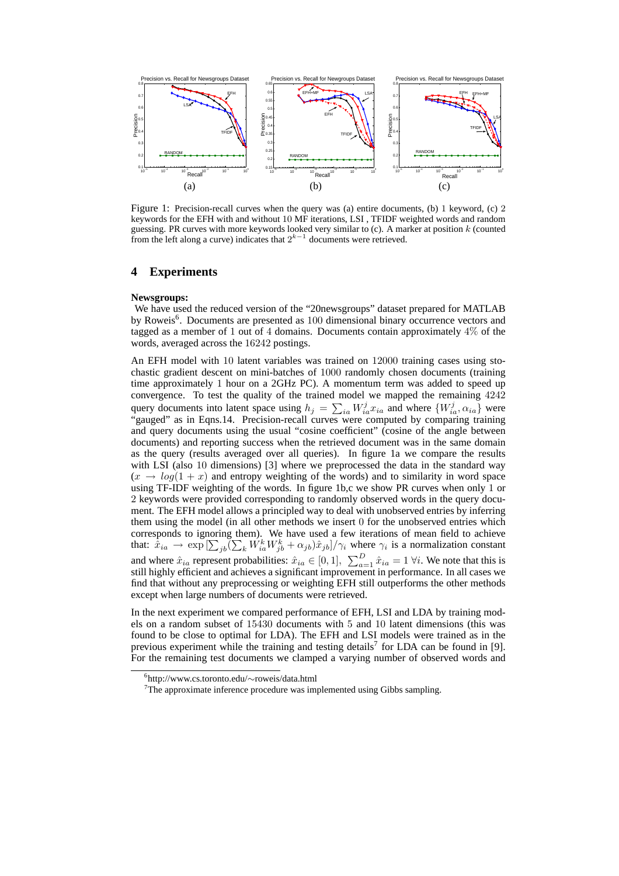

Figure 1: Precision-recall curves when the query was (a) entire documents, (b) 1 keyword, (c) 2 keywords for the EFH with and without 10 MF iterations, LSI , TFIDF weighted words and random guessing. PR curves with more keywords looked very similar to (c). A marker at position k (counted from the left along a curve) indicates that  $2^{k-1}$  documents were retrieved.

## **4 Experiments**

#### **Newsgroups:**

We have used the reduced version of the "20newsgroups" dataset prepared for MATLAB by Roweis<sup>6</sup>. Documents are presented as 100 dimensional binary occurrence vectors and tagged as a member of 1 out of 4 domains. Documents contain approximately 4% of the words, averaged across the 16242 postings.

An EFH model with 10 latent variables was trained on 12000 training cases using stochastic gradient descent on mini-batches of 1000 randomly chosen documents (training time approximately 1 hour on a 2GHz PC). A momentum term was added to speed up convergence. To test the quality of the trained model we mapped the remaining  $4242$ query documents into latent space using  $h_j = \sum_{ia} W_{ia}^j x_{ia}$  and where  $\{W_{ia}^j, \alpha_{ia}\}$  were "gauged" as in Eqns.14. Precision-recall curves were computed by comparing training and query documents using the usual "cosine coefficient" (cosine of the angle between documents) and reporting success when the retrieved document was in the same domain as the query (results averaged over all queries). In figure 1a we compare the results with LSI (also 10 dimensions) [3] where we preprocessed the data in the standard way  $(x \rightarrow log(1 + x))$  and entropy weighting of the words) and to similarity in word space using TF-IDF weighting of the words. In figure 1b,c we show PR curves when only 1 or 2 keywords were provided corresponding to randomly observed words in the query document. The EFH model allows a principled way to deal with unobserved entries by inferring them using the model (in all other methods we insert 0 for the unobserved entries which corresponds to ignoring them). We have used a few iterations of mean field to achieve that:  $\hat{x}_{ia} \to \exp\left[\sum_{jb} (\sum_k W_{ia}^k W_{jb}^k + \alpha_{jb}) \hat{x}_{jb}]/\gamma_i$  where  $\gamma_i$  is a normalization constant and where  $\hat{x}_{ia}$  represent probabilities:  $\hat{x}_{ia} \in [0, 1]$ ,  $\sum_{a=1}^{D} \hat{x}_{ia} = 1 \forall i$ . We note that this is still highly efficient and achieves a significant improvement in performance. In all cases we find that without any preprocessing or weighting EFH still outperforms the other methods except when large numbers of documents were retrieved.

In the next experiment we compared performance of EFH, LSI and LDA by training models on a random subset of 15430 documents with 5 and 10 latent dimensions (this was found to be close to optimal for LDA). The EFH and LSI models were trained as in the previous experiment while the training and testing details<sup>7</sup> for LDA can be found in [9]. For the remaining test documents we clamped a varying number of observed words and

<sup>6</sup> http://www.cs.toronto.edu/∼roweis/data.html

 $7$ The approximate inference procedure was implemented using Gibbs sampling.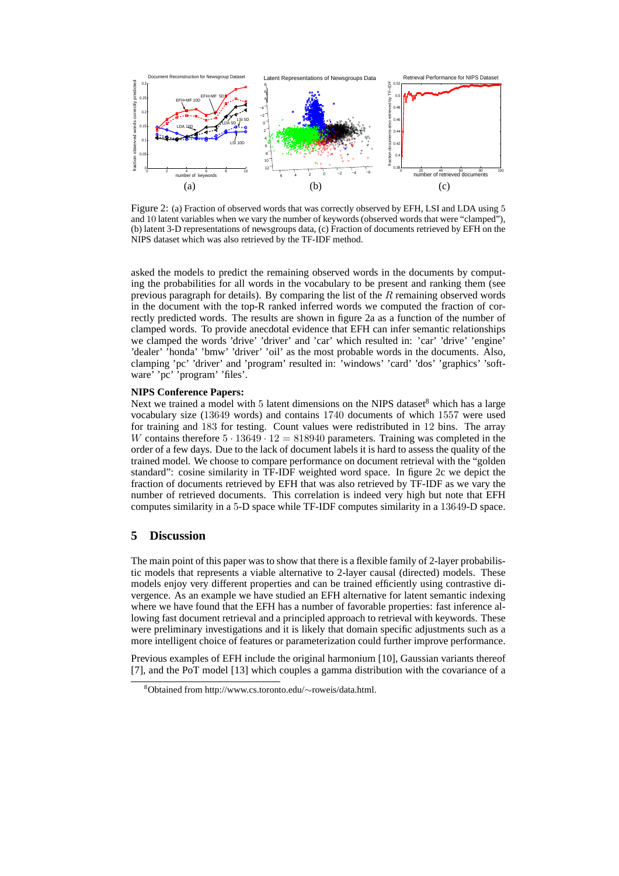

Figure 2: (a) Fraction of observed words that was correctly observed by EFH, LSI and LDA using 5 and 10 latent variables when we vary the number of keywords (observed words that were "clamped"), (b) latent 3-D representations of newsgroups data, (c) Fraction of documents retrieved by EFH on the NIPS dataset which was also retrieved by the TF-IDF method.

asked the models to predict the remaining observed words in the documents by computing the probabilities for all words in the vocabulary to be present and ranking them (see previous paragraph for details). By comparing the list of the  $R$  remaining observed words in the document with the top-R ranked inferred words we computed the fraction of correctly predicted words. The results are shown in figure 2a as a function of the number of clamped words. To provide anecdotal evidence that EFH can infer semantic relationships we clamped the words 'drive' 'driver' and 'car' which resulted in: 'car' 'drive' 'engine' 'dealer' 'honda' 'bmw' 'driver' 'oil' as the most probable words in the documents. Also, clamping 'pc' 'driver' and 'program' resulted in: 'windows' 'card' 'dos' 'graphics' 'software' 'pc' 'program' 'files'.

#### **NIPS Conference Papers:**

Next we trained a model with 5 latent dimensions on the NIPS dataset<sup>8</sup> which has a large vocabulary size (13649 words) and contains 1740 documents of which 1557 were used for training and 183 for testing. Count values were redistributed in 12 bins. The array W contains therefore  $5 \cdot 13649 \cdot 12 = 818940$  parameters. Training was completed in the order of a few days. Due to the lack of document labels it is hard to assess the quality of the trained model. We choose to compare performance on document retrieval with the "golden standard": cosine similarity in TF-IDF weighted word space. In figure 2c we depict the fraction of documents retrieved by EFH that was also retrieved by TF-IDF as we vary the number of retrieved documents. This correlation is indeed very high but note that EFH computes similarity in a 5-D space while TF-IDF computes similarity in a 13649-D space.

## **5 Discussion**

The main point of this paper was to show that there is a flexible family of 2-layer probabilistic models that represents a viable alternative to 2-layer causal (directed) models. These models enjoy very different properties and can be trained efficiently using contrastive divergence. As an example we have studied an EFH alternative for latent semantic indexing where we have found that the EFH has a number of favorable properties: fast inference allowing fast document retrieval and a principled approach to retrieval with keywords. These were preliminary investigations and it is likely that domain specific adjustments such as a more intelligent choice of features or parameterization could further improve performance.

Previous examples of EFH include the original harmonium [10], Gaussian variants thereof [7], and the PoT model [13] which couples a gamma distribution with the covariance of a

<sup>8</sup>Obtained from http://www.cs.toronto.edu/∼roweis/data.html.